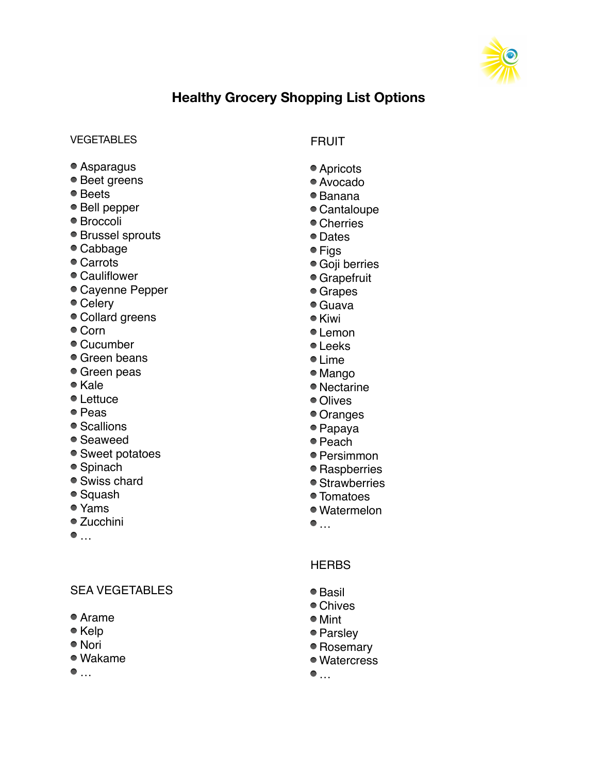

# **Healthy Grocery Shopping List Options**

#### **VEGETABLES**

- Asparagus
- Beet greens
- Beets
- Bell pepper
- Broccoli
- Brussel sprouts
- Cabbage
- Carrots
- Cauliflower
- Cayenne Pepper
- Celery
- Collard greens
- Corn
- Cucumber
- Green beans
- Green peas
- Kale
- Lettuce
- Peas
- Scallions
- Seaweed
- Sweet potatoes
- Spinach
- Swiss chard
- Squash
- Yams
- Zucchini
- $\bullet$  ...

#### SEA VEGETABLES

- Arame
- Kelp
- Nori
- Wakame
- $\bullet$  ...

## FRUIT

- Apricots
- Avocado
- Banana
- Cantaloupe
- Cherries
- Dates
- Figs
- Goji berries
- Grapefruit
- Grapes
- Guava
- Kiwi
- Lemon
- Leeks
- Lime
- Mango
- Nectarine
- Olives
- Oranges
- Papaya
- Peach
- Persimmon
- Raspberries
- Strawberries
- Tomatoes
- Watermelon
- $\bullet$  ...

#### **HFRBS**

- Basil
- Chives
- Mint
- Parsley
- Rosemary
- Watercress
- $\bullet$  ...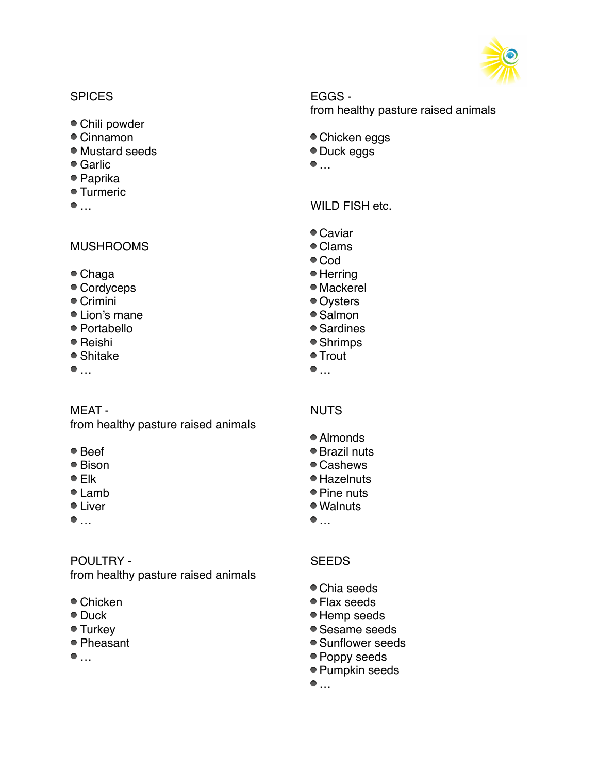

#### **SPICES**

- Chili powder
- Cinnamon
- Mustard seeds
- Garlic
- Paprika
- Turmeric
- $\bullet$  ...

#### MUSHROOMS

- Chaga
- Cordyceps
- Crimini
- Lion's mane
- Portabello
- Reishi
- Shitake
- $\bullet$   $\dots$

#### MEAT -

from healthy pasture raised animals

- Beef
- Bison
- <sup>●</sup> Elk
- Lamb
- Liver
- $\bullet$  ...

#### POULTRY -

from healthy pasture raised animals

- Chicken
- Duck
- Turkey
- Pheasant
- $\bullet$  ...

# EGGS -

from healthy pasture raised animals

- Chicken eggs
- Duck eggs
- $\bullet$  ...

WILD FISH etc.

- Caviar
- Clams
- Cod
- Herring
- Mackerel
- Oysters
- Salmon
- Sardines
- Shrimps ● Trout
- $\bullet$   $\dots$
- NUTS
- Almonds
- Brazil nuts
- Cashews
- Hazelnuts
- Pine nuts
- Walnuts
- $\bullet$  ...

# **SEEDS**

- Chia seeds
- Flax seeds
- Hemp seeds
- Sesame seeds
- Sunflower seeds
- Poppy seeds
- Pumpkin seeds
- $\bullet$  ...